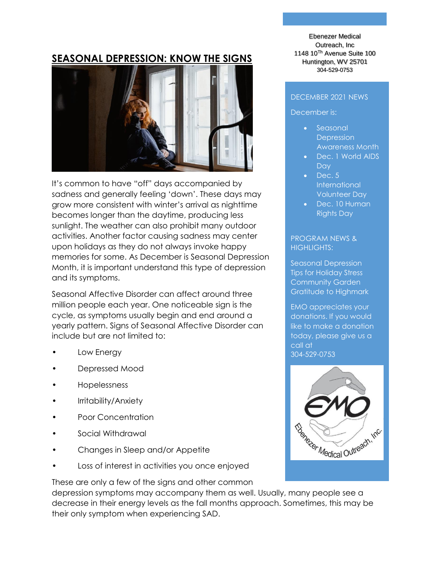## **SEASONAL DEPRESSION: KNOW THE SIGNS**



It's common to have "off" days accompanied by sadness and generally feeling 'down'. These days may grow more consistent with winter's arrival as nighttime becomes longer than the daytime, producing less sunlight. The weather can also prohibit many outdoor activities. Another factor causing sadness may center upon holidays as they do not always invoke happy memories for some. As December is Seasonal Depression Month, it is important understand this type of depression and its symptoms.

Seasonal Affective Disorder can affect around three million people each year. One noticeable sign is the cycle, as symptoms usually begin and end around a yearly pattern. Signs of Seasonal Affective Disorder can include but are not limited to:

- Low Energy
- Depressed Mood
- Hopelessness
- Irritability/Anxiety
- Poor Concentration
- Social Withdrawal
- Changes in Sleep and/or Appetite
- Loss of interest in activities you once enjoyed

These are only a few of the signs and other common

depression symptoms may accompany them as well. Usually, many people see a decrease in their energy levels as the fall months approach. Sometimes, this may be their only symptom when experiencing SAD.

Ebenezer Medical Outreach, Inc 1148 10Th Avenue Suite 100 Huntington, WV 25701 304-529-0753

#### DECEMBER 2021 NEWS

December is:

- Seasonal **Depression** Awareness Month
- Dec. 1 World AIDS **Day**
- Dec. 5 **International** Volunteer Day
- Dec. 10 Human Rights Day

PROGRAM NEWS & HIGHLIGHTS:

Seasonal Depression Tips for Holiday Stress Community Garden Gratitude to Highmark

EMO appreciates your donations. If you would like to make a donation today, please give us a call at 304-529-0753

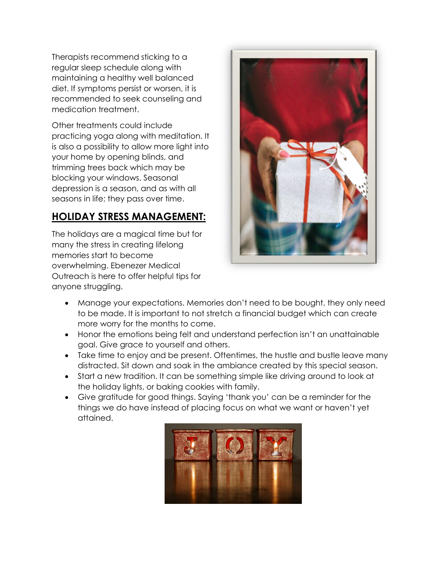Therapists recommend sticking to a regular sleep schedule along with maintaining a healthy well balanced diet. If symptoms persist or worsen, it is recommended to seek counseling and medication treatment.

Other treatments could include practicing yoga along with meditation. It is also a possibility to allow more light into your home by opening blinds, and trimming trees back which may be blocking your windows. Seasonal depression is a season, and as with all seasons in life; they pass over time.

# **HOLIDAY STRESS MANAGEMENT:**

The holidays are a magical time but for many the stress in creating lifelong memories start to become overwhelming. Ebenezer Medical Outreach is here to offer helpful tips for anyone struggling.



- Manage your expectations. Memories don't need to be bought, they only need to be made. It is important to not stretch a financial budget which can create more worry for the months to come.
- Honor the emotions being felt and understand perfection isn't an unattainable goal. Give grace to yourself and others.
- Take time to enjoy and be present. Oftentimes, the hustle and bustle leave many distracted. Sit down and soak in the ambiance created by this special season.
- Start a new tradition. It can be something simple like driving around to look at the holiday lights, or baking cookies with family.
- Give gratitude for good things. Saying 'thank you' can be a reminder for the things we do have instead of placing focus on what we want or haven't yet attained.